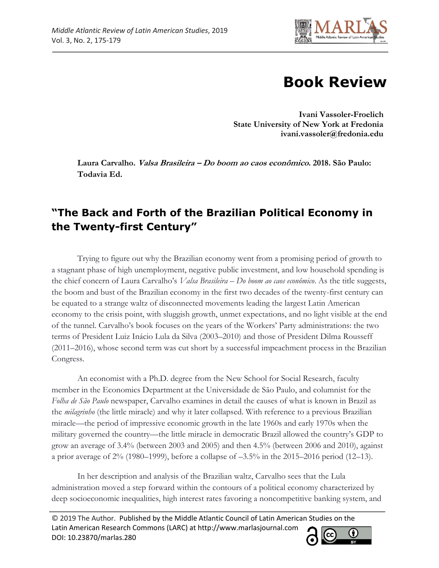

# **Book Review**

**Ivani Vassoler-Froelich State University of New York at Fredonia ivani.vassoler@fredonia.edu**

**Laura Carvalho. Valsa Brasileira – Do boom ao caos econômico. 2018. São Paulo: Todavia Ed.**

## **"The Back and Forth of the Brazilian Political Economy in the Twenty-first Century"**

Trying to figure out why the Brazilian economy went from a promising period of growth to a stagnant phase of high unemployment, negative public investment, and low household spending is the chief concern of Laura Carvalho's *Valsa Brasileira – Do boom ao caos econômico*. As the title suggests, the boom and bust of the Brazilian economy in the first two decades of the twenty-first century can be equated to a strange waltz of disconnected movements leading the largest Latin American economy to the crisis point, with sluggish growth, unmet expectations, and no light visible at the end of the tunnel. Carvalho's book focuses on the years of the Workers' Party administrations: the two terms of President Luiz Inácio Lula da Silva (2003–2010) and those of President Dilma Rousseff (2011–2016), whose second term was cut short by a successful impeachment process in the Brazilian Congress.

An economist with a Ph.D. degree from the New School for Social Research, faculty member in the Economics Department at the Universidade de São Paulo, and columnist for the *Folha de São Paulo* newspaper, Carvalho examines in detail the causes of what is known in Brazil as the *milagrinho* (the little miracle) and why it later collapsed. With reference to a previous Brazilian miracle—the period of impressive economic growth in the late 1960s and early 1970s when the military governed the country—the little miracle in democratic Brazil allowed the country's GDP to grow an average of 3.4% (between 2003 and 2005) and then 4.5% (between 2006 and 2010), against a prior average of 2% (1980–1999), before a collapse of –3.5% in the 2015–2016 period (12–13).

In her description and analysis of the Brazilian waltz, Carvalho sees that the Lula administration moved a step forward within the contours of a political economy characterized by deep socioeconomic inequalities, high interest rates favoring a noncompetitive banking system, and

© 2019 The Author. Published by the Middle Atlantic Council of Latin American Studies on the Latin American Research Commons (LARC) at http://www.marlasjournal.com **CC** DOI: [10.23870/marlas.280](https://doi.org/10.23870/marlas.280)

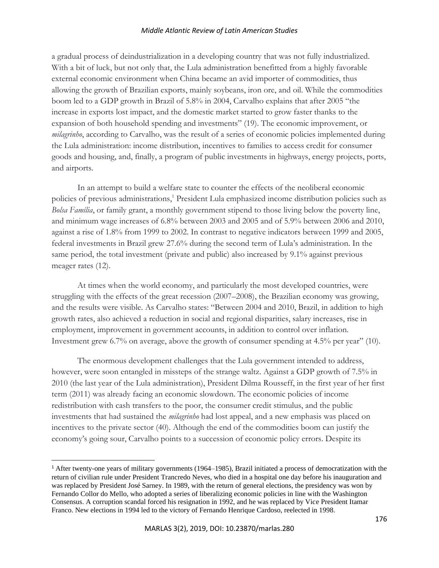#### *Middle Atlantic Review of Latin American Studies*

a gradual process of deindustrialization in a developing country that was not fully industrialized. With a bit of luck, but not only that, the Lula administration benefitted from a highly favorable external economic environment when China became an avid importer of commodities, thus allowing the growth of Brazilian exports, mainly soybeans, iron ore, and oil. While the commodities boom led to a GDP growth in Brazil of 5.8% in 2004, Carvalho explains that after 2005 "the increase in exports lost impact, and the domestic market started to grow faster thanks to the expansion of both household spending and investments" (19). The economic improvement, or *milagrinho*, according to Carvalho, was the result of a series of economic policies implemented during the Lula administration: income distribution, incentives to families to access credit for consumer goods and housing, and, finally, a program of public investments in highways, energy projects, ports, and airports.

In an attempt to build a welfare state to counter the effects of the neoliberal economic policies of previous administrations,<sup>1</sup> President Lula emphasized income distribution policies such as *Bolsa Família*, or family grant, a monthly government stipend to those living below the poverty line, and minimum wage increases of 6.8% between 2003 and 2005 and of 5.9% between 2006 and 2010, against a rise of 1.8% from 1999 to 2002. In contrast to negative indicators between 1999 and 2005, federal investments in Brazil grew 27.6% during the second term of Lula's administration. In the same period, the total investment (private and public) also increased by 9.1% against previous meager rates (12).

At times when the world economy, and particularly the most developed countries, were struggling with the effects of the great recession (2007–2008), the Brazilian economy was growing, and the results were visible. As Carvalho states: "Between 2004 and 2010, Brazil, in addition to high growth rates, also achieved a reduction in social and regional disparities, salary increases, rise in employment, improvement in government accounts, in addition to control over inflation. Investment grew 6.7% on average, above the growth of consumer spending at 4.5% per year" (10).

The enormous development challenges that the Lula government intended to address, however, were soon entangled in missteps of the strange waltz. Against a GDP growth of 7.5% in 2010 (the last year of the Lula administration), President Dilma Rousseff, in the first year of her first term (2011) was already facing an economic slowdown. The economic policies of income redistribution with cash transfers to the poor, the consumer credit stimulus, and the public investments that had sustained the *milagrinho* had lost appeal, and a new emphasis was placed on incentives to the private sector (40). Although the end of the commodities boom can justify the economy's going sour, Carvalho points to a succession of economic policy errors. Despite its

<sup>1</sup> After twenty-one years of military governments (1964–1985), Brazil initiated a process of democratization with the return of civilian rule under President Trancredo Neves, who died in a hospital one day before his inauguration and was replaced by President José Sarney. In 1989, with the return of general elections, the presidency was won by Fernando Collor do Mello, who adopted a series of liberalizing economic policies in line with the Washington Consensus. A corruption scandal forced his resignation in 1992, and he was replaced by Vice President Itamar Franco. New elections in 1994 led to the victory of Fernando Henrique Cardoso, reelected in 1998.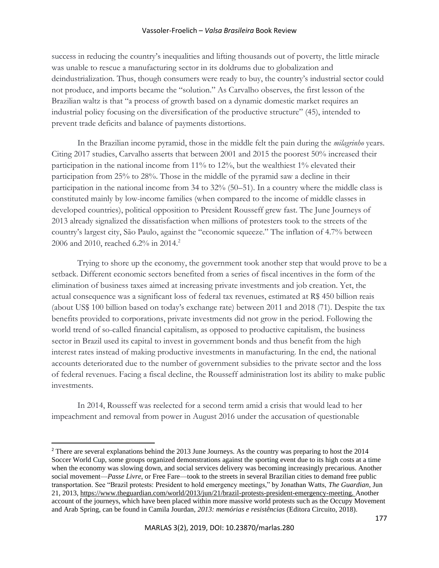#### Vassoler-Froelich – *Valsa Brasileira* Book Review

success in reducing the country's inequalities and lifting thousands out of poverty, the little miracle was unable to rescue a manufacturing sector in its doldrums due to globalization and deindustrialization. Thus, though consumers were ready to buy, the country's industrial sector could not produce, and imports became the "solution." As Carvalho observes, the first lesson of the Brazilian waltz is that "a process of growth based on a dynamic domestic market requires an industrial policy focusing on the diversification of the productive structure" (45), intended to prevent trade deficits and balance of payments distortions.

In the Brazilian income pyramid, those in the middle felt the pain during the *milagrinho* years. Citing 2017 studies, Carvalho asserts that between 2001 and 2015 the poorest 50% increased their participation in the national income from 11% to 12%, but the wealthiest 1% elevated their participation from 25% to 28%. Those in the middle of the pyramid saw a decline in their participation in the national income from 34 to 32% (50–51). In a country where the middle class is constituted mainly by low-income families (when compared to the income of middle classes in developed countries), political opposition to President Rousseff grew fast. The June Journeys of 2013 already signalized the dissatisfaction when millions of protesters took to the streets of the country's largest city, São Paulo, against the "economic squeeze." The inflation of 4.7% between 2006 and 2010, reached 6.2% in 2014.<sup>2</sup>

Trying to shore up the economy, the government took another step that would prove to be a setback. Different economic sectors benefited from a series of fiscal incentives in the form of the elimination of business taxes aimed at increasing private investments and job creation. Yet, the actual consequence was a significant loss of federal tax revenues, estimated at R\$ 450 billion reais (about US\$ 100 billion based on today's exchange rate) between 2011 and 2018 (71). Despite the tax benefits provided to corporations, private investments did not grow in the period. Following the world trend of so-called financial capitalism, as opposed to productive capitalism, the business sector in Brazil used its capital to invest in government bonds and thus benefit from the high interest rates instead of making productive investments in manufacturing. In the end, the national accounts deteriorated due to the number of government subsidies to the private sector and the loss of federal revenues. Facing a fiscal decline, the Rousseff administration lost its ability to make public investments.

In 2014, Rousseff was reelected for a second term amid a crisis that would lead to her impeachment and removal from power in August 2016 under the accusation of questionable

<sup>2</sup> There are several explanations behind the 2013 June Journeys. As the country was preparing to host the 2014 Soccer World Cup, some groups organized demonstrations against the sporting event due to its high costs at a time when the economy was slowing down, and social services delivery was becoming increasingly precarious. Another social movement—*Passe Livre*, or Free Fare—took to the streets in several Brazilian cities to demand free public transportation. See "Brazil protests: President to hold emergency meetings," by Jonathan Watts, *The Guardian*, Jun 21, 2013, [https://www.theguardian.com/world/2013/jun/21/brazil-protests-president-emergency-meeting.](https://www.theguardian.com/world/2013/jun/21/brazil-protests-president-emergency-meeting) Another account of the journeys, which have been placed within more massive world protests such as the Occupy Movement and Arab Spring, can be found in Camila Jourdan, *2013: memórias e resistências* (Editora Circuito, 2018).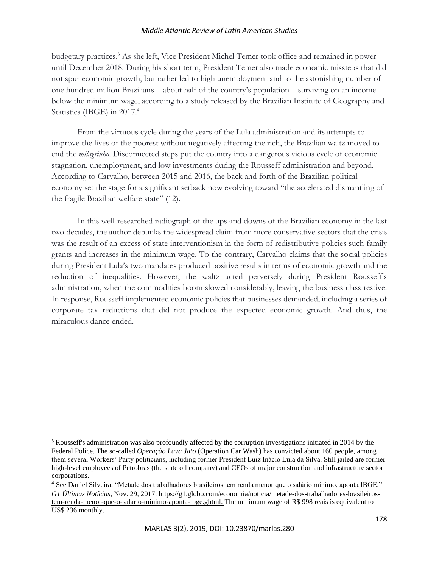### *Middle Atlantic Review of Latin American Studies*

budgetary practices.<sup>3</sup> As she left, Vice President Michel Temer took office and remained in power until December 2018. During his short term, President Temer also made economic missteps that did not spur economic growth, but rather led to high unemployment and to the astonishing number of one hundred million Brazilians—about half of the country's population—surviving on an income below the minimum wage, according to a study released by the Brazilian Institute of Geography and Statistics (IBGE) in 2017.<sup>4</sup>

From the virtuous cycle during the years of the Lula administration and its attempts to improve the lives of the poorest without negatively affecting the rich, the Brazilian waltz moved to end the *milagrinho*. Disconnected steps put the country into a dangerous vicious cycle of economic stagnation, unemployment, and low investments during the Rousseff administration and beyond. According to Carvalho, between 2015 and 2016, the back and forth of the Brazilian political economy set the stage for a significant setback now evolving toward "the accelerated dismantling of the fragile Brazilian welfare state" (12).

In this well-researched radiograph of the ups and downs of the Brazilian economy in the last two decades, the author debunks the widespread claim from more conservative sectors that the crisis was the result of an excess of state interventionism in the form of redistributive policies such family grants and increases in the minimum wage. To the contrary, Carvalho claims that the social policies during President Lula's two mandates produced positive results in terms of economic growth and the reduction of inequalities. However, the waltz acted perversely during President Rousseff's administration, when the commodities boom slowed considerably, leaving the business class restive. In response, Rousseff implemented economic policies that businesses demanded, including a series of corporate tax reductions that did not produce the expected economic growth. And thus, the miraculous dance ended.

<sup>3</sup> Rousseff's administration was also profoundly affected by the corruption investigations initiated in 2014 by the Federal Police. The so-called *Operação Lava Jato* (Operation Car Wash) has convicted about 160 people, among them several Workers' Party politicians, including former President Luiz Inácio Lula da Silva. Still jailed are former high-level employees of Petrobras (the state oil company) and CEOs of major construction and infrastructure sector corporations.

<sup>4</sup> See Daniel Silveira, "Metade dos trabalhadores brasileiros tem renda menor que o salário mínimo, aponta IBGE," *G1 Últimas Notícias*, Nov. 29, 2017. [https://g1.globo.com/economia/noticia/metade-dos-trabalhadores-brasileiros](https://g1.globo.com/economia/noticia/metade-dos-trabalhadores-brasileiros-tem-renda-menor-que-o-salario-minimo-aponta-ibge.ghtml)[tem-renda-menor-que-o-salario-minimo-aponta-ibge.ghtml.](https://g1.globo.com/economia/noticia/metade-dos-trabalhadores-brasileiros-tem-renda-menor-que-o-salario-minimo-aponta-ibge.ghtml) The minimum wage of R\$ 998 reais is equivalent to US\$ 236 monthly.